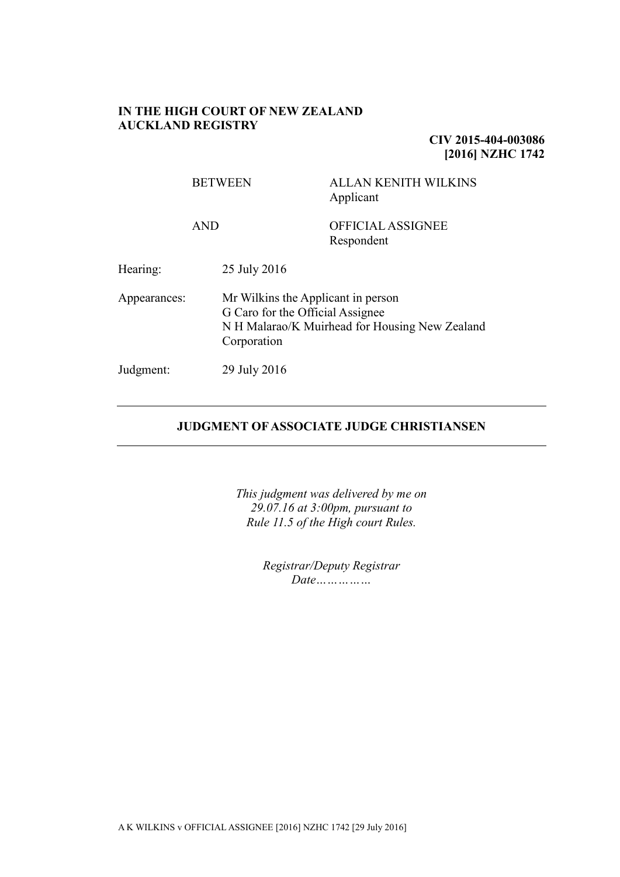## **IN THE HIGH COURT OF NEW ZEALAND AUCKLAND REGISTRY**

**CIV 2015-404-003086 [2016] NZHC 1742**

| <b>BETWEEN</b> |                                                                                                                                         | <b>ALLAN KENITH WILKINS</b><br>Applicant |
|----------------|-----------------------------------------------------------------------------------------------------------------------------------------|------------------------------------------|
|                | <b>AND</b>                                                                                                                              | <b>OFFICIAL ASSIGNEE</b><br>Respondent   |
| Hearing:       | 25 July 2016                                                                                                                            |                                          |
| Appearances:   | Mr Wilkins the Applicant in person<br>G Caro for the Official Assignee<br>N H Malarao/K Muirhead for Housing New Zealand<br>Corporation |                                          |
| Judgment:      | 29 July 2016                                                                                                                            |                                          |

## **JUDGMENT OF ASSOCIATE JUDGE CHRISTIANSEN**

*This judgment was delivered by me on 29.07.16 at 3:00pm, pursuant to Rule 11.5 of the High court Rules.*

> *Registrar/Deputy Registrar Date……………*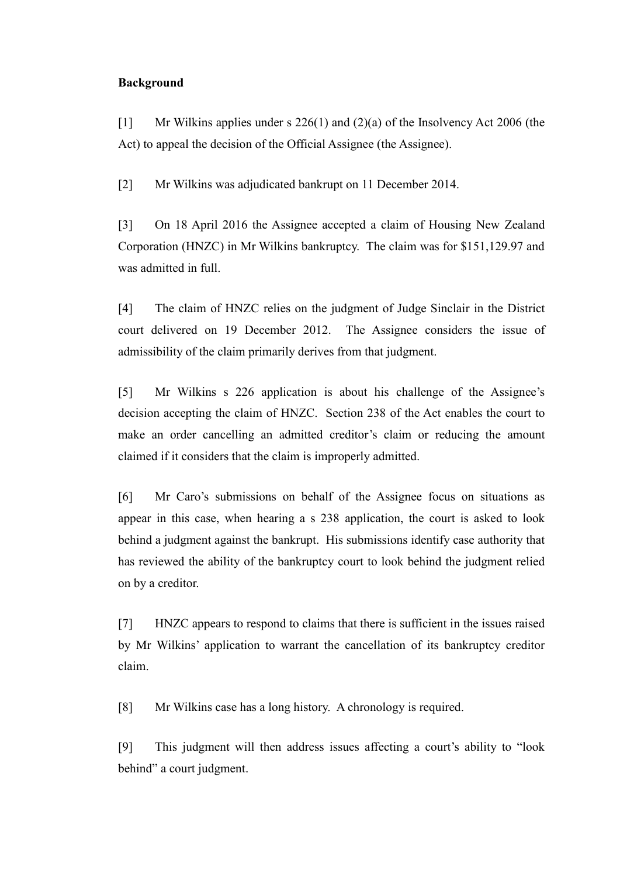## **Background**

[1] Mr Wilkins applies under s 226(1) and (2)(a) of the Insolvency Act 2006 (the Act) to appeal the decision of the Official Assignee (the Assignee).

[2] Mr Wilkins was adjudicated bankrupt on 11 December 2014.

[3] On 18 April 2016 the Assignee accepted a claim of Housing New Zealand Corporation (HNZC) in Mr Wilkins bankruptcy. The claim was for \$151,129.97 and was admitted in full.

[4] The claim of HNZC relies on the judgment of Judge Sinclair in the District court delivered on 19 December 2012. The Assignee considers the issue of admissibility of the claim primarily derives from that judgment.

[5] Mr Wilkins s 226 application is about his challenge of the Assignee's decision accepting the claim of HNZC. Section 238 of the Act enables the court to make an order cancelling an admitted creditor's claim or reducing the amount claimed if it considers that the claim is improperly admitted.

[6] Mr Caro's submissions on behalf of the Assignee focus on situations as appear in this case, when hearing a s 238 application, the court is asked to look behind a judgment against the bankrupt. His submissions identify case authority that has reviewed the ability of the bankruptcy court to look behind the judgment relied on by a creditor.

[7] HNZC appears to respond to claims that there is sufficient in the issues raised by Mr Wilkins' application to warrant the cancellation of its bankruptcy creditor claim.

[8] Mr Wilkins case has a long history. A chronology is required.

[9] This judgment will then address issues affecting a court's ability to "look behind" a court judgment.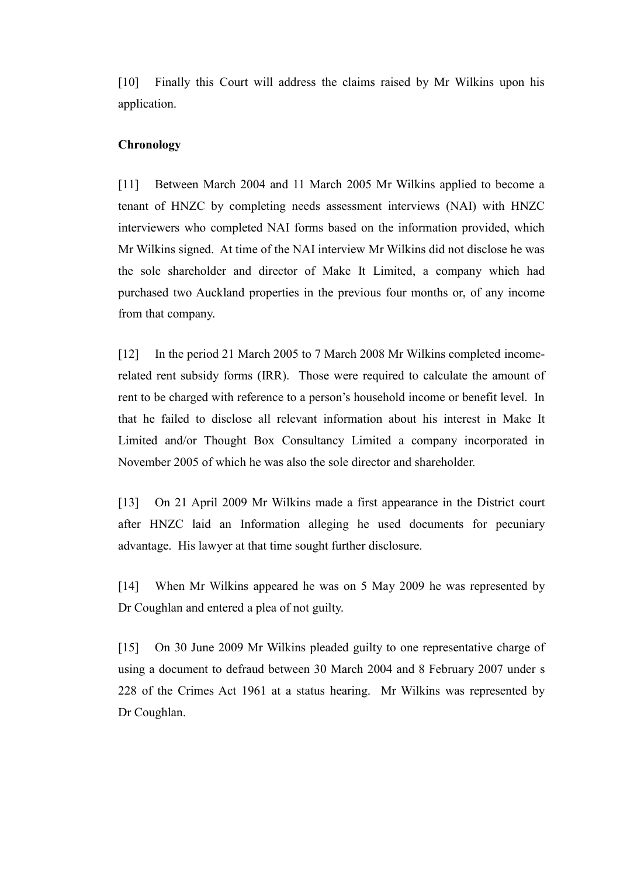[10] Finally this Court will address the claims raised by Mr Wilkins upon his application.

## **Chronology**

[11] Between March 2004 and 11 March 2005 Mr Wilkins applied to become a tenant of HNZC by completing needs assessment interviews (NAI) with HNZC interviewers who completed NAI forms based on the information provided, which Mr Wilkins signed. At time of the NAI interview Mr Wilkins did not disclose he was the sole shareholder and director of Make It Limited, a company which had purchased two Auckland properties in the previous four months or, of any income from that company.

[12] In the period 21 March 2005 to 7 March 2008 Mr Wilkins completed incomerelated rent subsidy forms (IRR). Those were required to calculate the amount of rent to be charged with reference to a person's household income or benefit level. In that he failed to disclose all relevant information about his interest in Make It Limited and/or Thought Box Consultancy Limited a company incorporated in November 2005 of which he was also the sole director and shareholder.

[13] On 21 April 2009 Mr Wilkins made a first appearance in the District court after HNZC laid an Information alleging he used documents for pecuniary advantage. His lawyer at that time sought further disclosure.

[14] When Mr Wilkins appeared he was on 5 May 2009 he was represented by Dr Coughlan and entered a plea of not guilty.

[15] On 30 June 2009 Mr Wilkins pleaded guilty to one representative charge of using a document to defraud between 30 March 2004 and 8 February 2007 under s 228 of the Crimes Act 1961 at a status hearing. Mr Wilkins was represented by Dr Coughlan.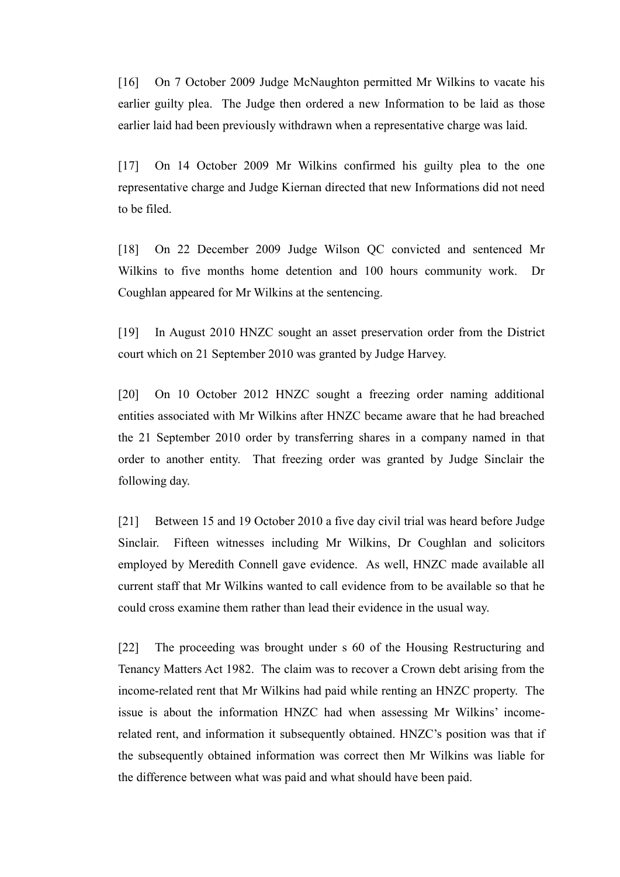[16] On 7 October 2009 Judge McNaughton permitted Mr Wilkins to vacate his earlier guilty plea. The Judge then ordered a new Information to be laid as those earlier laid had been previously withdrawn when a representative charge was laid.

[17] On 14 October 2009 Mr Wilkins confirmed his guilty plea to the one representative charge and Judge Kiernan directed that new Informations did not need to be filed.

[18] On 22 December 2009 Judge Wilson QC convicted and sentenced Mr Wilkins to five months home detention and 100 hours community work. Dr Coughlan appeared for Mr Wilkins at the sentencing.

[19] In August 2010 HNZC sought an asset preservation order from the District court which on 21 September 2010 was granted by Judge Harvey.

[20] On 10 October 2012 HNZC sought a freezing order naming additional entities associated with Mr Wilkins after HNZC became aware that he had breached the 21 September 2010 order by transferring shares in a company named in that order to another entity. That freezing order was granted by Judge Sinclair the following day.

[21] Between 15 and 19 October 2010 a five day civil trial was heard before Judge Sinclair. Fifteen witnesses including Mr Wilkins, Dr Coughlan and solicitors employed by Meredith Connell gave evidence. As well, HNZC made available all current staff that Mr Wilkins wanted to call evidence from to be available so that he could cross examine them rather than lead their evidence in the usual way.

[22] The proceeding was brought under s 60 of the Housing Restructuring and Tenancy Matters Act 1982. The claim was to recover a Crown debt arising from the income-related rent that Mr Wilkins had paid while renting an HNZC property. The issue is about the information HNZC had when assessing Mr Wilkins' incomerelated rent, and information it subsequently obtained. HNZC's position was that if the subsequently obtained information was correct then Mr Wilkins was liable for the difference between what was paid and what should have been paid.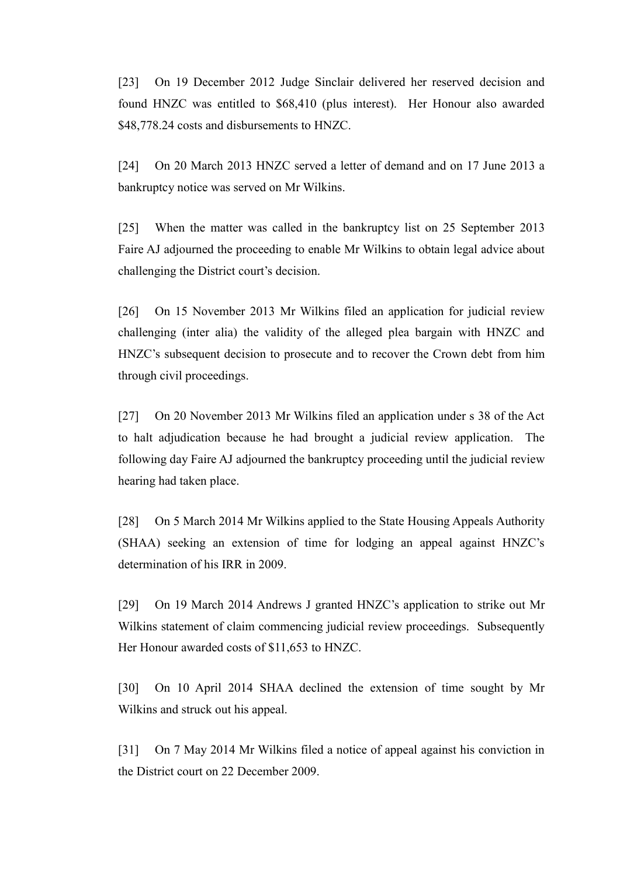[23] On 19 December 2012 Judge Sinclair delivered her reserved decision and found HNZC was entitled to \$68,410 (plus interest). Her Honour also awarded \$48,778.24 costs and disbursements to HNZC.

[24] On 20 March 2013 HNZC served a letter of demand and on 17 June 2013 a bankruptcy notice was served on Mr Wilkins.

[25] When the matter was called in the bankruptcy list on 25 September 2013 Faire AJ adjourned the proceeding to enable Mr Wilkins to obtain legal advice about challenging the District court's decision.

[26] On 15 November 2013 Mr Wilkins filed an application for judicial review challenging (inter alia) the validity of the alleged plea bargain with HNZC and HNZC's subsequent decision to prosecute and to recover the Crown debt from him through civil proceedings.

[27] On 20 November 2013 Mr Wilkins filed an application under s 38 of the Act to halt adjudication because he had brought a judicial review application. The following day Faire AJ adjourned the bankruptcy proceeding until the judicial review hearing had taken place.

[28] On 5 March 2014 Mr Wilkins applied to the State Housing Appeals Authority (SHAA) seeking an extension of time for lodging an appeal against HNZC's determination of his IRR in 2009.

[29] On 19 March 2014 Andrews J granted HNZC's application to strike out Mr Wilkins statement of claim commencing judicial review proceedings. Subsequently Her Honour awarded costs of \$11,653 to HNZC.

[30] On 10 April 2014 SHAA declined the extension of time sought by Mr Wilkins and struck out his appeal.

[31] On 7 May 2014 Mr Wilkins filed a notice of appeal against his conviction in the District court on 22 December 2009.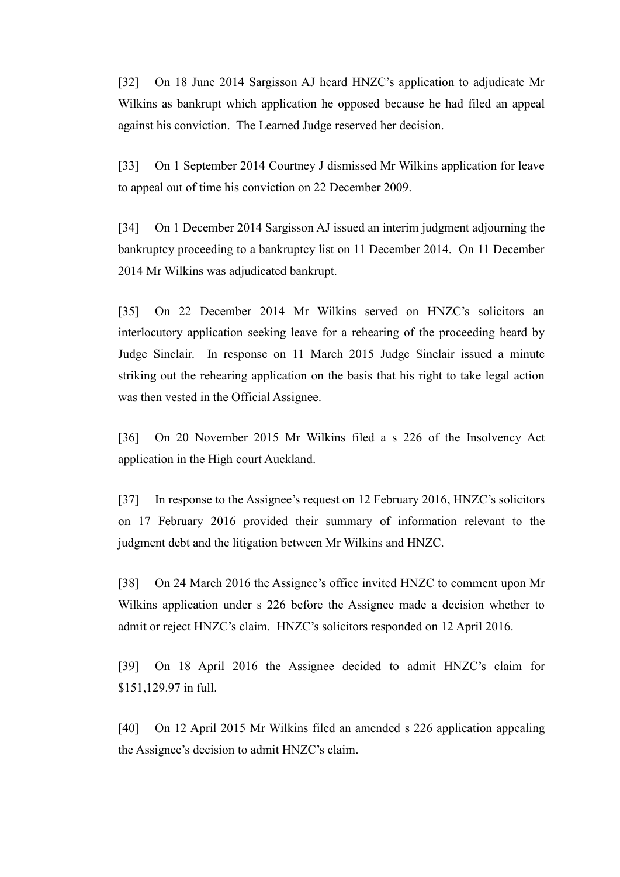[32] On 18 June 2014 Sargisson AJ heard HNZC's application to adjudicate Mr Wilkins as bankrupt which application he opposed because he had filed an appeal against his conviction. The Learned Judge reserved her decision.

[33] On 1 September 2014 Courtney J dismissed Mr Wilkins application for leave to appeal out of time his conviction on 22 December 2009.

[34] On 1 December 2014 Sargisson AJ issued an interim judgment adjourning the bankruptcy proceeding to a bankruptcy list on 11 December 2014. On 11 December 2014 Mr Wilkins was adjudicated bankrupt.

[35] On 22 December 2014 Mr Wilkins served on HNZC's solicitors an interlocutory application seeking leave for a rehearing of the proceeding heard by Judge Sinclair. In response on 11 March 2015 Judge Sinclair issued a minute striking out the rehearing application on the basis that his right to take legal action was then vested in the Official Assignee.

[36] On 20 November 2015 Mr Wilkins filed a s 226 of the Insolvency Act application in the High court Auckland.

[37] In response to the Assignee's request on 12 February 2016, HNZC's solicitors on 17 February 2016 provided their summary of information relevant to the judgment debt and the litigation between Mr Wilkins and HNZC.

[38] On 24 March 2016 the Assignee's office invited HNZC to comment upon Mr Wilkins application under s 226 before the Assignee made a decision whether to admit or reject HNZC's claim. HNZC's solicitors responded on 12 April 2016.

[39] On 18 April 2016 the Assignee decided to admit HNZC's claim for \$151,129.97 in full.

[40] On 12 April 2015 Mr Wilkins filed an amended s 226 application appealing the Assignee's decision to admit HNZC's claim.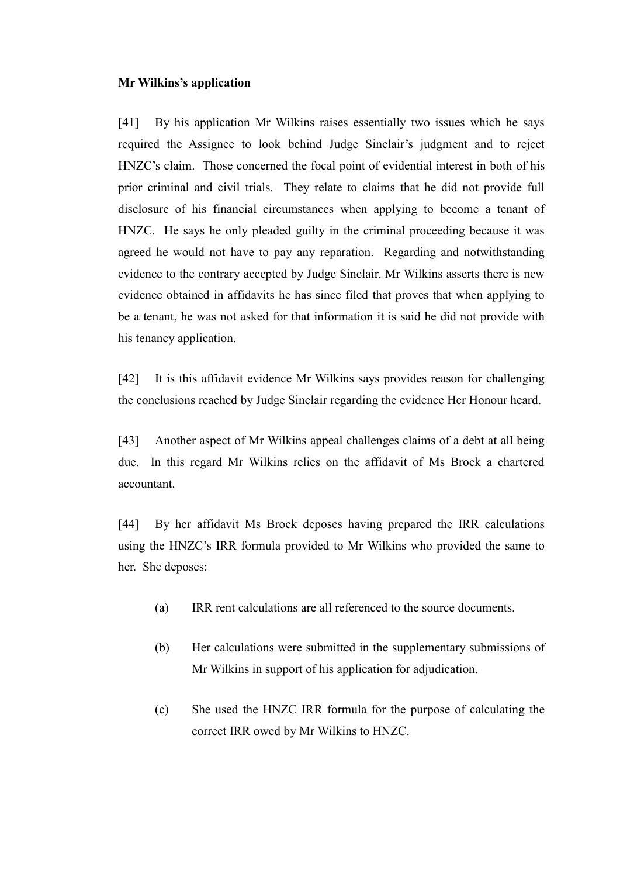#### **Mr Wilkins's application**

[41] By his application Mr Wilkins raises essentially two issues which he says required the Assignee to look behind Judge Sinclair's judgment and to reject HNZC's claim. Those concerned the focal point of evidential interest in both of his prior criminal and civil trials. They relate to claims that he did not provide full disclosure of his financial circumstances when applying to become a tenant of HNZC. He says he only pleaded guilty in the criminal proceeding because it was agreed he would not have to pay any reparation. Regarding and notwithstanding evidence to the contrary accepted by Judge Sinclair, Mr Wilkins asserts there is new evidence obtained in affidavits he has since filed that proves that when applying to be a tenant, he was not asked for that information it is said he did not provide with his tenancy application.

[42] It is this affidavit evidence Mr Wilkins says provides reason for challenging the conclusions reached by Judge Sinclair regarding the evidence Her Honour heard.

[43] Another aspect of Mr Wilkins appeal challenges claims of a debt at all being due. In this regard Mr Wilkins relies on the affidavit of Ms Brock a chartered accountant.

[44] By her affidavit Ms Brock deposes having prepared the IRR calculations using the HNZC's IRR formula provided to Mr Wilkins who provided the same to her. She deposes:

- (a) IRR rent calculations are all referenced to the source documents.
- (b) Her calculations were submitted in the supplementary submissions of Mr Wilkins in support of his application for adjudication.
- (c) She used the HNZC IRR formula for the purpose of calculating the correct IRR owed by Mr Wilkins to HNZC.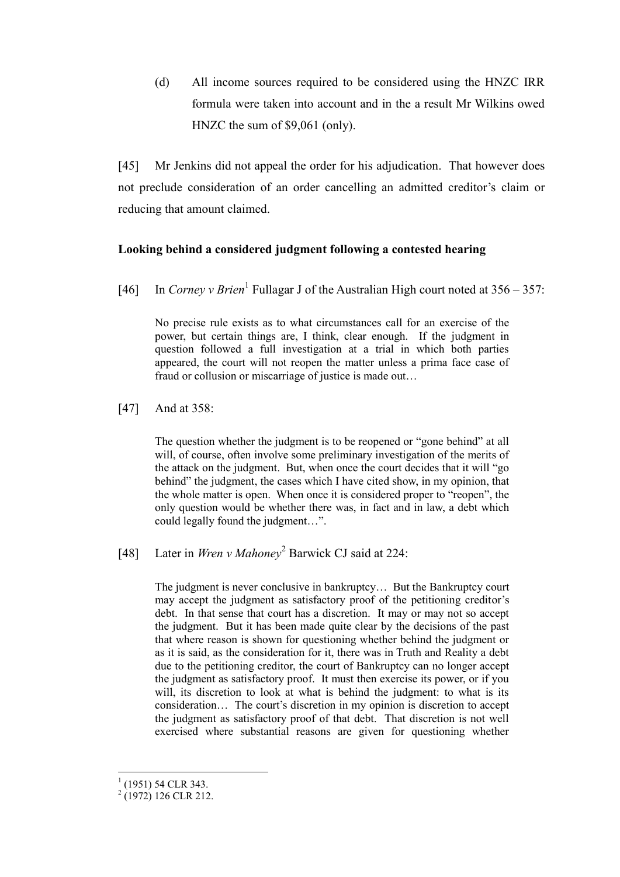(d) All income sources required to be considered using the HNZC IRR formula were taken into account and in the a result Mr Wilkins owed HNZC the sum of \$9,061 (only).

[45] Mr Jenkins did not appeal the order for his adjudication. That however does not preclude consideration of an order cancelling an admitted creditor's claim or reducing that amount claimed.

## **Looking behind a considered judgment following a contested hearing**

[46] In *Corney v Brien*<sup>1</sup> Fullagar J of the Australian High court noted at 356 – 357:

No precise rule exists as to what circumstances call for an exercise of the power, but certain things are, I think, clear enough. If the judgment in question followed a full investigation at a trial in which both parties appeared, the court will not reopen the matter unless a prima face case of fraud or collusion or miscarriage of justice is made out…

[47] And at 358:

The question whether the judgment is to be reopened or "gone behind" at all will, of course, often involve some preliminary investigation of the merits of the attack on the judgment. But, when once the court decides that it will "go behind" the judgment, the cases which I have cited show, in my opinion, that the whole matter is open. When once it is considered proper to "reopen", the only question would be whether there was, in fact and in law, a debt which could legally found the judgment…".

[48] Later in *Wren v Mahoney*<sup>2</sup> Barwick CJ said at 224:

The judgment is never conclusive in bankruptcy… But the Bankruptcy court may accept the judgment as satisfactory proof of the petitioning creditor's debt. In that sense that court has a discretion. It may or may not so accept the judgment. But it has been made quite clear by the decisions of the past that where reason is shown for questioning whether behind the judgment or as it is said, as the consideration for it, there was in Truth and Reality a debt due to the petitioning creditor, the court of Bankruptcy can no longer accept the judgment as satisfactory proof. It must then exercise its power, or if you will, its discretion to look at what is behind the judgment: to what is its consideration… The court's discretion in my opinion is discretion to accept the judgment as satisfactory proof of that debt. That discretion is not well exercised where substantial reasons are given for questioning whether

 $\overline{a}$ 

 $(1951)$  54 CLR 343.

 $^{2}$  (1972) 126 CLR 212.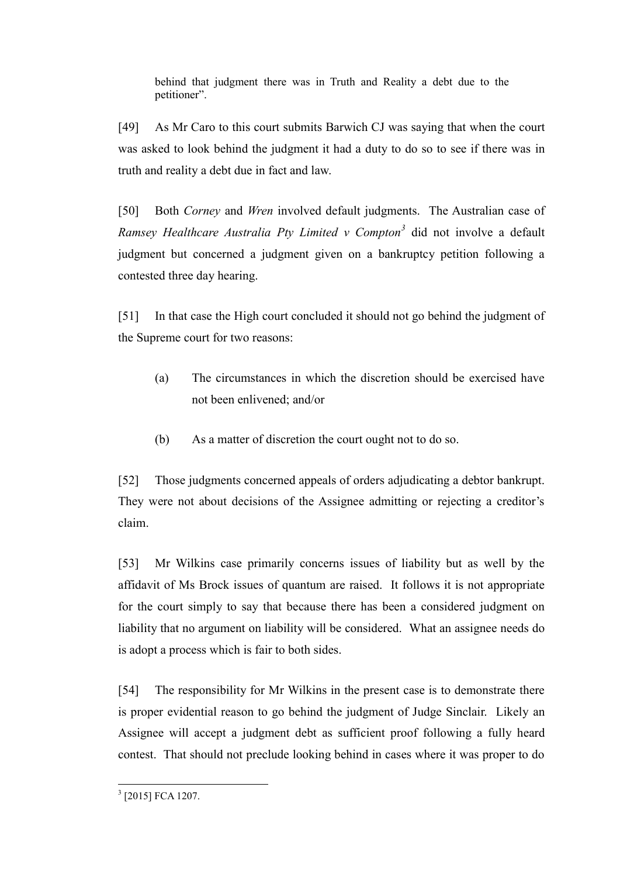behind that judgment there was in Truth and Reality a debt due to the petitioner".

[49] As Mr Caro to this court submits Barwich CJ was saying that when the court was asked to look behind the judgment it had a duty to do so to see if there was in truth and reality a debt due in fact and law.

[50] Both *Corney* and *Wren* involved default judgments. The Australian case of *Ramsey Healthcare Australia Pty Limited v Compton<sup>3</sup>* did not involve a default judgment but concerned a judgment given on a bankruptcy petition following a contested three day hearing.

[51] In that case the High court concluded it should not go behind the judgment of the Supreme court for two reasons:

- (a) The circumstances in which the discretion should be exercised have not been enlivened; and/or
- (b) As a matter of discretion the court ought not to do so.

[52] Those judgments concerned appeals of orders adjudicating a debtor bankrupt. They were not about decisions of the Assignee admitting or rejecting a creditor's claim.

[53] Mr Wilkins case primarily concerns issues of liability but as well by the affidavit of Ms Brock issues of quantum are raised. It follows it is not appropriate for the court simply to say that because there has been a considered judgment on liability that no argument on liability will be considered. What an assignee needs do is adopt a process which is fair to both sides.

[54] The responsibility for Mr Wilkins in the present case is to demonstrate there is proper evidential reason to go behind the judgment of Judge Sinclair. Likely an Assignee will accept a judgment debt as sufficient proof following a fully heard contest. That should not preclude looking behind in cases where it was proper to do

<sup>&</sup>lt;sup>3</sup> [2015] FCA 1207.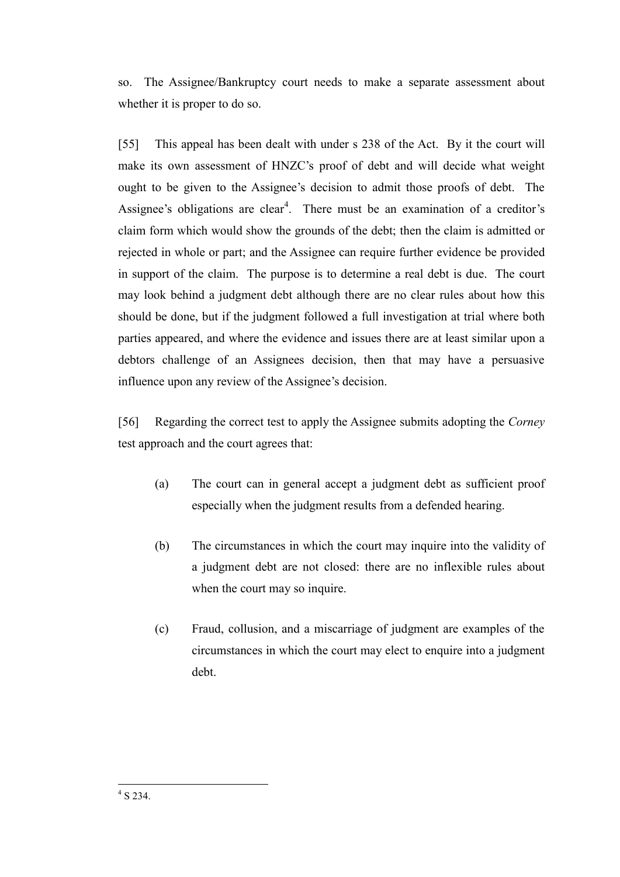so. The Assignee/Bankruptcy court needs to make a separate assessment about whether it is proper to do so.

[55] This appeal has been dealt with under s 238 of the Act. By it the court will make its own assessment of HNZC's proof of debt and will decide what weight ought to be given to the Assignee's decision to admit those proofs of debt. The Assignee's obligations are clear<sup>4</sup>. There must be an examination of a creditor's claim form which would show the grounds of the debt; then the claim is admitted or rejected in whole or part; and the Assignee can require further evidence be provided in support of the claim. The purpose is to determine a real debt is due. The court may look behind a judgment debt although there are no clear rules about how this should be done, but if the judgment followed a full investigation at trial where both parties appeared, and where the evidence and issues there are at least similar upon a debtors challenge of an Assignees decision, then that may have a persuasive influence upon any review of the Assignee's decision.

[56] Regarding the correct test to apply the Assignee submits adopting the *Corney* test approach and the court agrees that:

- (a) The court can in general accept a judgment debt as sufficient proof especially when the judgment results from a defended hearing.
- (b) The circumstances in which the court may inquire into the validity of a judgment debt are not closed: there are no inflexible rules about when the court may so inquire.
- (c) Fraud, collusion, and a miscarriage of judgment are examples of the circumstances in which the court may elect to enquire into a judgment debt.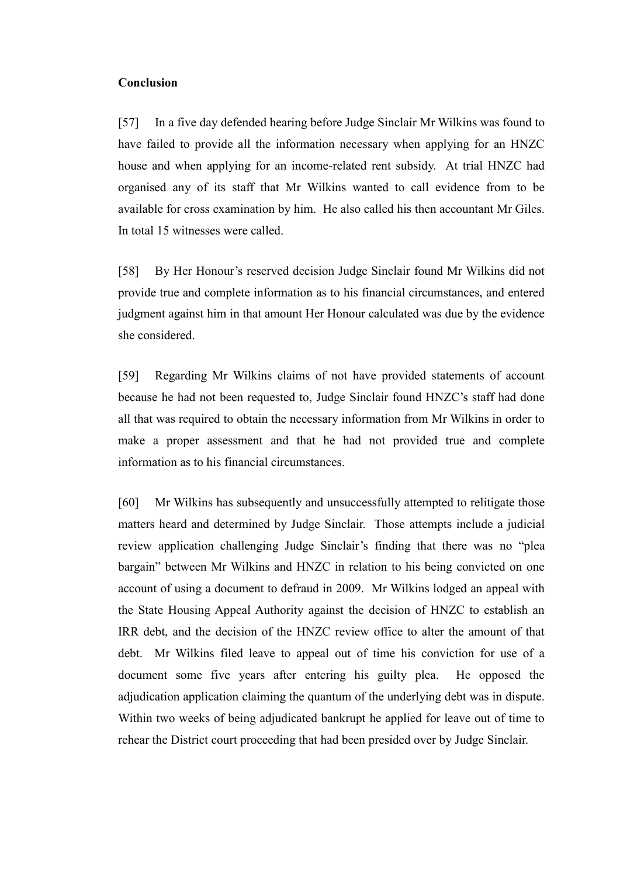#### **Conclusion**

[57] In a five day defended hearing before Judge Sinclair Mr Wilkins was found to have failed to provide all the information necessary when applying for an HNZC house and when applying for an income-related rent subsidy. At trial HNZC had organised any of its staff that Mr Wilkins wanted to call evidence from to be available for cross examination by him. He also called his then accountant Mr Giles. In total 15 witnesses were called.

[58] By Her Honour's reserved decision Judge Sinclair found Mr Wilkins did not provide true and complete information as to his financial circumstances, and entered judgment against him in that amount Her Honour calculated was due by the evidence she considered.

[59] Regarding Mr Wilkins claims of not have provided statements of account because he had not been requested to, Judge Sinclair found HNZC's staff had done all that was required to obtain the necessary information from Mr Wilkins in order to make a proper assessment and that he had not provided true and complete information as to his financial circumstances.

[60] Mr Wilkins has subsequently and unsuccessfully attempted to relitigate those matters heard and determined by Judge Sinclair. Those attempts include a judicial review application challenging Judge Sinclair's finding that there was no "plea bargain" between Mr Wilkins and HNZC in relation to his being convicted on one account of using a document to defraud in 2009. Mr Wilkins lodged an appeal with the State Housing Appeal Authority against the decision of HNZC to establish an IRR debt, and the decision of the HNZC review office to alter the amount of that debt. Mr Wilkins filed leave to appeal out of time his conviction for use of a document some five years after entering his guilty plea. He opposed the adjudication application claiming the quantum of the underlying debt was in dispute. Within two weeks of being adjudicated bankrupt he applied for leave out of time to rehear the District court proceeding that had been presided over by Judge Sinclair.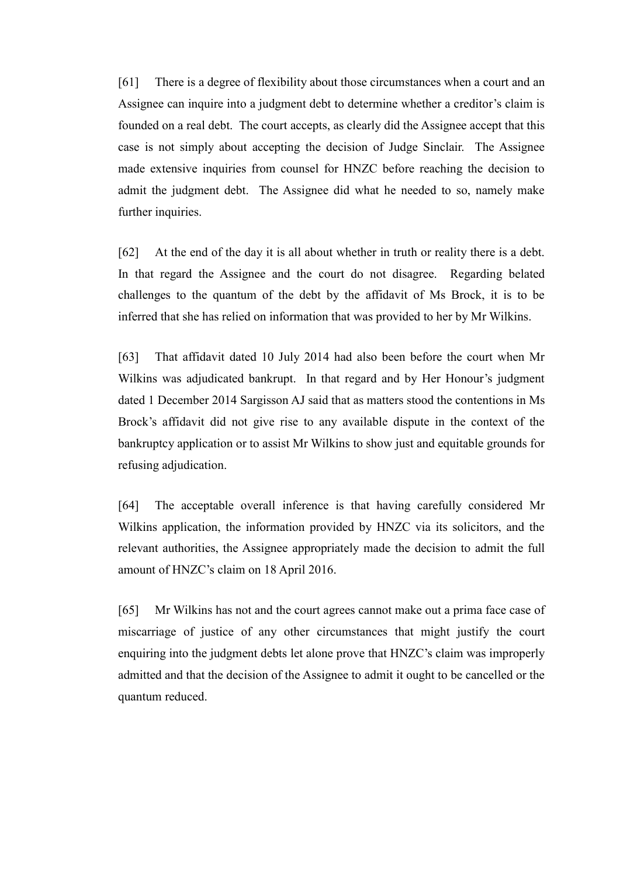[61] There is a degree of flexibility about those circumstances when a court and an Assignee can inquire into a judgment debt to determine whether a creditor's claim is founded on a real debt. The court accepts, as clearly did the Assignee accept that this case is not simply about accepting the decision of Judge Sinclair. The Assignee made extensive inquiries from counsel for HNZC before reaching the decision to admit the judgment debt. The Assignee did what he needed to so, namely make further inquiries.

[62] At the end of the day it is all about whether in truth or reality there is a debt. In that regard the Assignee and the court do not disagree. Regarding belated challenges to the quantum of the debt by the affidavit of Ms Brock, it is to be inferred that she has relied on information that was provided to her by Mr Wilkins.

[63] That affidavit dated 10 July 2014 had also been before the court when Mr Wilkins was adjudicated bankrupt. In that regard and by Her Honour's judgment dated 1 December 2014 Sargisson AJ said that as matters stood the contentions in Ms Brock's affidavit did not give rise to any available dispute in the context of the bankruptcy application or to assist Mr Wilkins to show just and equitable grounds for refusing adjudication.

[64] The acceptable overall inference is that having carefully considered Mr Wilkins application, the information provided by HNZC via its solicitors, and the relevant authorities, the Assignee appropriately made the decision to admit the full amount of HNZC's claim on 18 April 2016.

[65] Mr Wilkins has not and the court agrees cannot make out a prima face case of miscarriage of justice of any other circumstances that might justify the court enquiring into the judgment debts let alone prove that HNZC's claim was improperly admitted and that the decision of the Assignee to admit it ought to be cancelled or the quantum reduced.